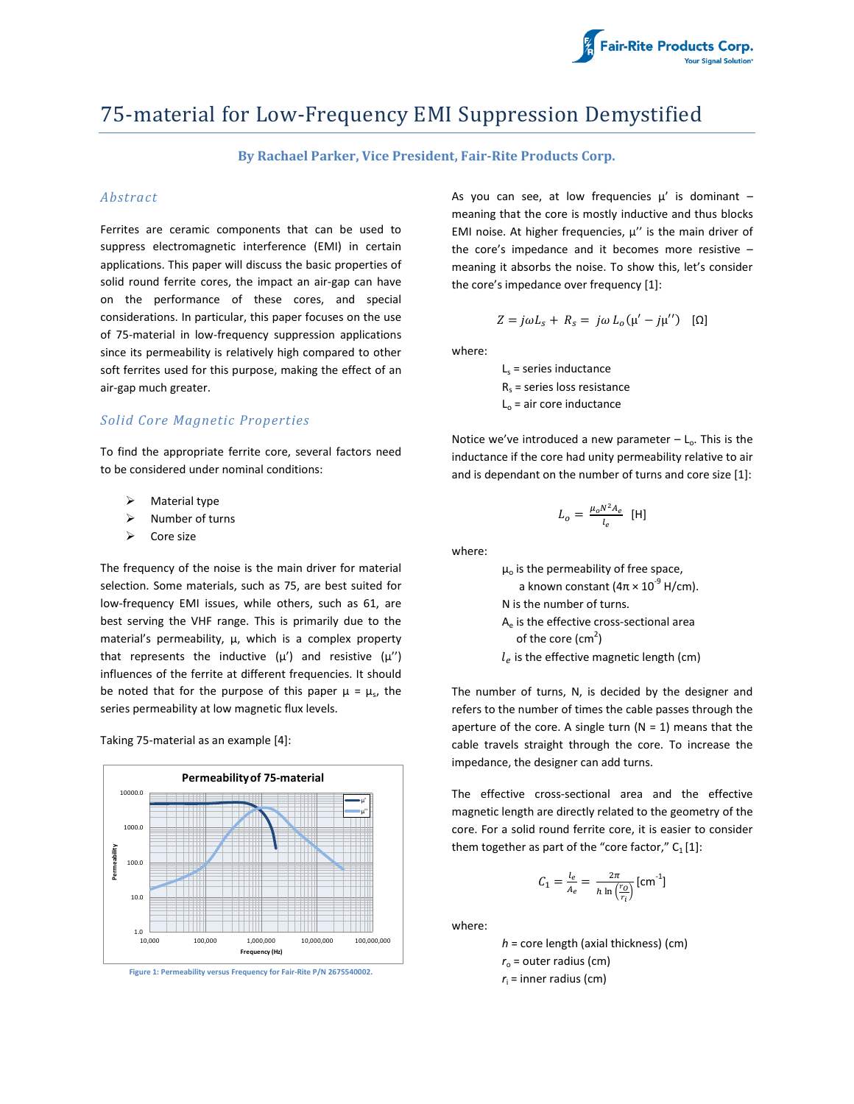

# 75-material for Low-Frequency EMI Suppression Demystified

## **By Rachael Parker, Vice President, Fair-Rite Products Corp.**

#### *Abstract*

Ferrites are ceramic components that can be used to suppress electromagnetic interference (EMI) in certain applications. This paper will discuss the basic properties of solid round ferrite cores, the impact an air-gap can have on the performance of these cores, and special considerations. In particular, this paper focuses on the use of 75-material in low-frequency suppression applications since its permeability is relatively high compared to other soft ferrites used for this purpose, making the effect of an air-gap much greater.

### *Solid Core Magnetic Properties*

To find the appropriate ferrite core, several factors need to be considered under nominal conditions:

- $\triangleright$  Material type
- $\triangleright$  Number of turns
- $\triangleright$  Core size

The frequency of the noise is the main driver for material selection. Some materials, such as 75, are best suited for low-frequency EMI issues, while others, such as 61, are best serving the VHF range. This is primarily due to the material's permeability,  $\mu$ , which is a complex property that represents the inductive  $(\mu')$  and resistive  $(\mu'')$ influences of the ferrite at different frequencies. It should be noted that for the purpose of this paper  $\mu = \mu_s$ , the series permeability at low magnetic flux levels.

Taking 75-material as an example [4]:



**Figure 1: Permeability versus Frequency for Fair-Rite P/N 2675540002.**

As you can see, at low frequencies  $\mu'$  is dominant meaning that the core is mostly inductive and thus blocks EMI noise. At higher frequencies,  $\mu$ " is the main driver of the core's impedance and it becomes more resistive – meaning it absorbs the noise. To show this, let's consider the core's impedance over frequency [1]:

$$
Z = j\omega L_s + R_s = j\omega L_o(\mu' - j\mu'') \quad [\Omega]
$$

where:

 $L<sub>s</sub>$  = series inductance  $R_s$  = series loss resistance  $L_0$  = air core inductance

Notice we've introduced a new parameter  $-L_0$ . This is the inductance if the core had unity permeability relative to air and is dependant on the number of turns and core size [1]:

$$
L_o = \frac{\mu_o N^2 A_e}{l_e} \text{ [H]}
$$

where:

 $\mu$ <sub>o</sub> is the permeability of free space, a known constant (4π × 10<sup>-9</sup> H/cm). N is the number of turns. Ae is the effective cross-sectional area of the core (cm<sup>2</sup>)  $l_e$  is the effective magnetic length (cm)

The number of turns, N, is decided by the designer and refers to the number of times the cable passes through the aperture of the core. A single turn  $(N = 1)$  means that the cable travels straight through the core. To increase the impedance, the designer can add turns.

The effective cross-sectional area and the effective magnetic length are directly related to the geometry of the core. For a solid round ferrite core, it is easier to consider them together as part of the "core factor,"  $C_1[1]$ :

$$
C_1 = \frac{l_e}{A_e} = \frac{2\pi}{h \ln\left(\frac{r_o}{r_i}\right)} \text{[cm}^{-1}\text{]}
$$

where:

*h* = core length (axial thickness) (cm)  $r_0$  = outer radius (cm)  $r_i$  = inner radius (cm)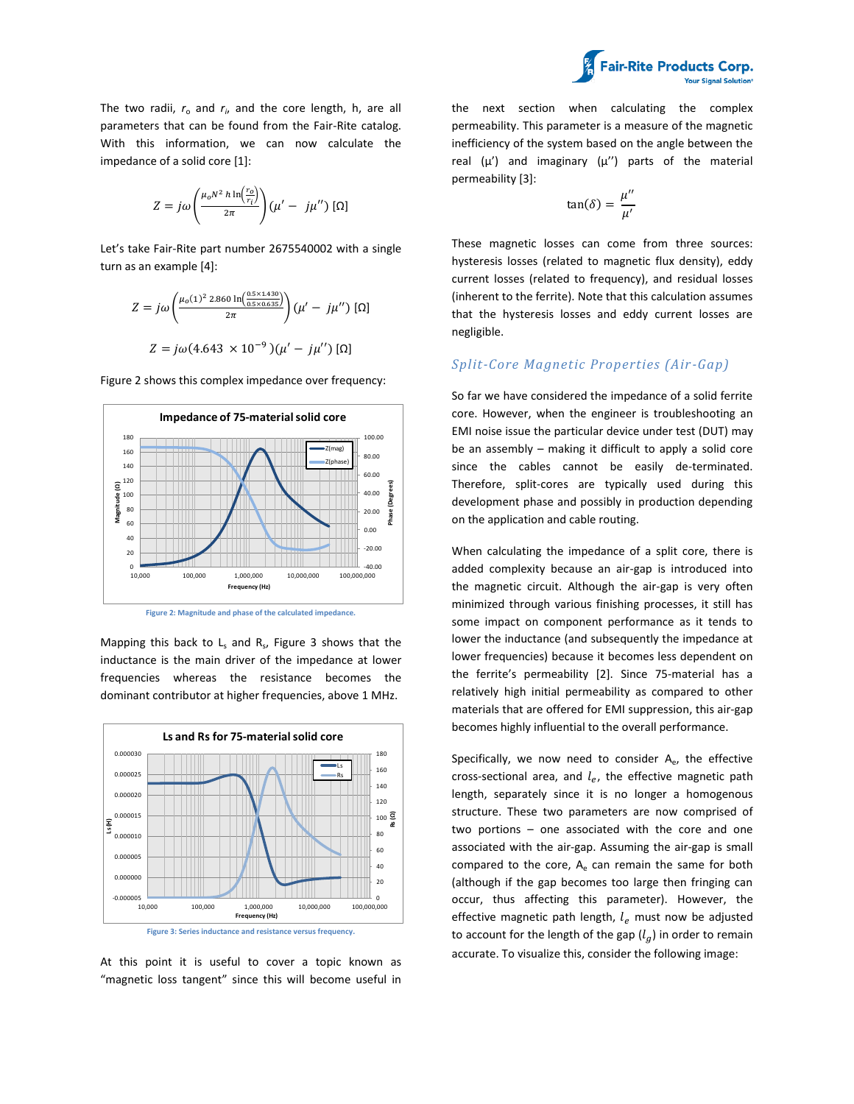

The two radii,  $r_{o}$  and  $r_{i}$ , and the core length, h, are all parameters that can be found from the Fair-Rite catalog. With this information, we can now calculate the impedance of a solid core [1]:

$$
Z = j\omega \left(\frac{\mu_o N^2 h \ln\left(\frac{r_o}{r_i}\right)}{2\pi}\right) (\mu' - j\mu'') [\Omega]
$$

Let's take Fair-Rite part number 2675540002 with a single turn as an example [4]:

$$
Z = j\omega \left( \frac{\mu_o(1)^2 \, 2.860 \, \text{ln} \left( \frac{0.5 \times 1.430}{0.5 \times 0.635} \right)}{2\pi} \right) (\mu' - j\mu'') \, [\Omega]
$$
\n
$$
Z = j\omega (4.643 \times 10^{-9}) (\mu' - j\mu'') \, [\Omega]
$$

Figure 2 shows this complex impedance over frequency:



**Figure 2: Magnitude and phase of the calculated impedance.**

Mapping this back to  $L_s$  and  $R_s$ , Figure 3 shows that the inductance is the main driver of the impedance at lower frequencies whereas the resistance becomes the dominant contributor at higher frequencies, above 1 MHz.



**Figure 3: Series inductance and resistance versus frequency.**

At this point it is useful to cover a topic known as "magnetic loss tangent" since this will become useful in the next section when calculating the complex permeability. This parameter is a measure of the magnetic inefficiency of the system based on the angle between the real  $(\mu')$  and imaginary  $(\mu'')$  parts of the material permeability [3]:

$$
\tan(\delta) = \frac{\mu''}{\mu'}
$$

These magnetic losses can come from three sources: hysteresis losses (related to magnetic flux density), eddy current losses (related to frequency), and residual losses (inherent to the ferrite). Note that this calculation assumes that the hysteresis losses and eddy current losses are negligible.

#### *Split-Core Magnetic Properties (Air -Gap)*

So far we have considered the impedance of a solid ferrite core. However, when the engineer is troubleshooting an EMI noise issue the particular device under test (DUT) may be an assembly – making it difficult to apply a solid core since the cables cannot be easily de-terminated. Therefore, split-cores are typically used during this development phase and possibly in production depending on the application and cable routing.

When calculating the impedance of a split core, there is added complexity because an air-gap is introduced into the magnetic circuit. Although the air-gap is very often minimized through various finishing processes, it still has some impact on component performance as it tends to lower the inductance (and subsequently the impedance at lower frequencies) because it becomes less dependent on the ferrite's permeability [2]. Since 75-material has a relatively high initial permeability as compared to other materials that are offered for EMI suppression, this air-gap becomes highly influential to the overall performance.

Specifically, we now need to consider  $A_{e}$ , the effective cross-sectional area, and  $l_e$ , the effective magnetic path length, separately since it is no longer a homogenous structure. These two parameters are now comprised of two portions – one associated with the core and one associated with the air-gap. Assuming the air-gap is small compared to the core,  $A<sub>e</sub>$  can remain the same for both (although if the gap becomes too large then fringing can occur, thus affecting this parameter). However, the effective magnetic path length,  $l_e$  must now be adjusted to account for the length of the gap  $(l_g)$  in order to remain accurate. To visualize this, consider the following image: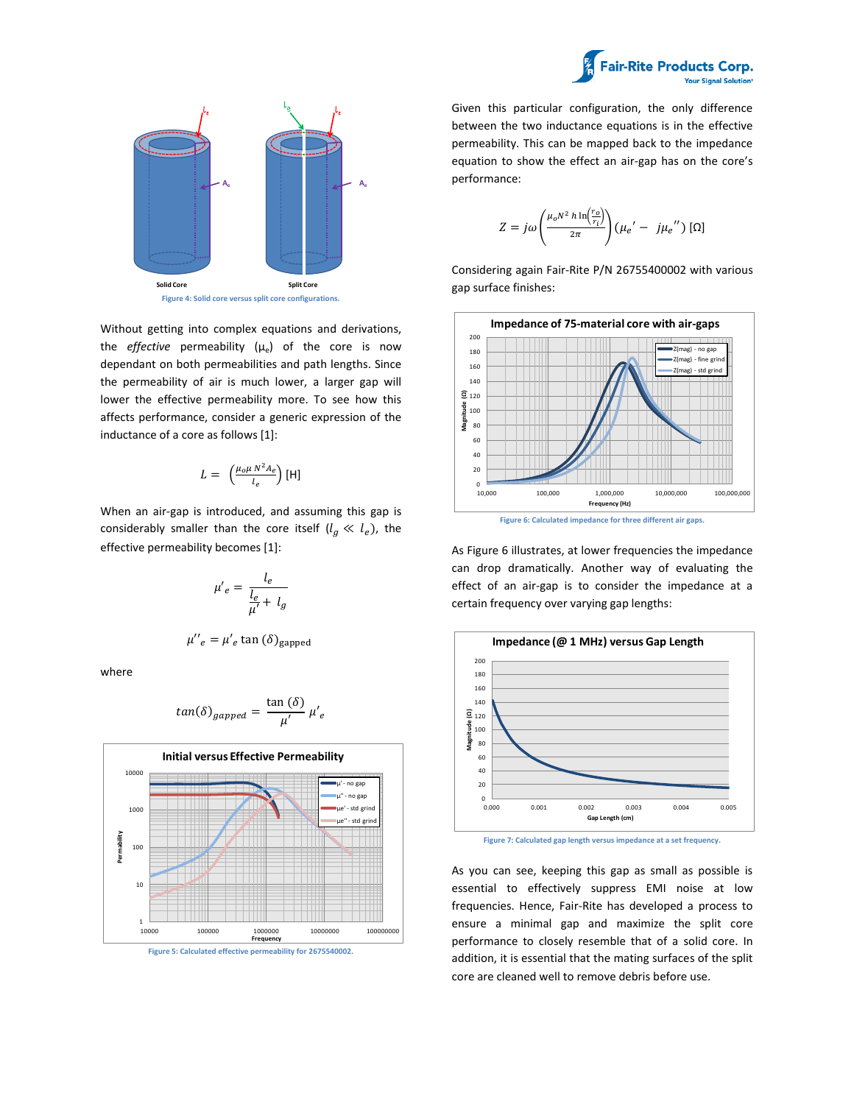



Without getting into complex equations and derivations, the *effective* permeability ( $\mu_e$ ) of the core is now dependant on both permeabilities and path lengths. Since the permeability of air is much lower, a larger gap will lower the effective permeability more. To see how this affects performance, consider a generic expression of the

$$
L = \left(\frac{\mu_o \mu N^2 A_e}{l_e}\right)[H]
$$

inductance of a core as follows [1]:

When an air-gap is introduced, and assuming this gap is considerably smaller than the core itself  $(l_g \ll l_e)$ , the effective permeability becomes [1]:

$$
\mu'_{e} = \frac{l_{e}}{\frac{l_{e}}{\mu'} + l_{g}}
$$

$$
\mu''_e = \mu'_e \tan(\delta)_{\text{gapped}}
$$

where

$$
tan(\delta)_{gapped} = \frac{\tan(\delta)}{\mu'} \mu'e
$$





Given this particular configuration, the only difference between the two inductance equations is in the effective permeability. This can be mapped back to the impedance equation to show the effect an air-gap has on the core's performance:

$$
Z = j\omega \left(\frac{\mu_o N^2 h \ln \left(\frac{r_o}{r_i}\right)}{2\pi}\right) (\mu_e' - j\mu_e'') [\Omega]
$$

Considering again Fair-Rite P/N 26755400002 with various gap surface finishes:



**Figure 6: Calculated impedance for three different air gaps.**

As Figure 6 illustrates, at lower frequencies the impedance can drop dramatically. Another way of evaluating the effect of an air-gap is to consider the impedance at a certain frequency over varying gap lengths:



**Figure 7: Calculated gap length versus impedance at a set frequency.**

As you can see, keeping this gap as small as possible is essential to effectively suppress EMI noise at low frequencies. Hence, Fair-Rite has developed a process to ensure a minimal gap and maximize the split core performance to closely resemble that of a solid core. In addition, it is essential that the mating surfaces of the split core are cleaned well to remove debris before use.